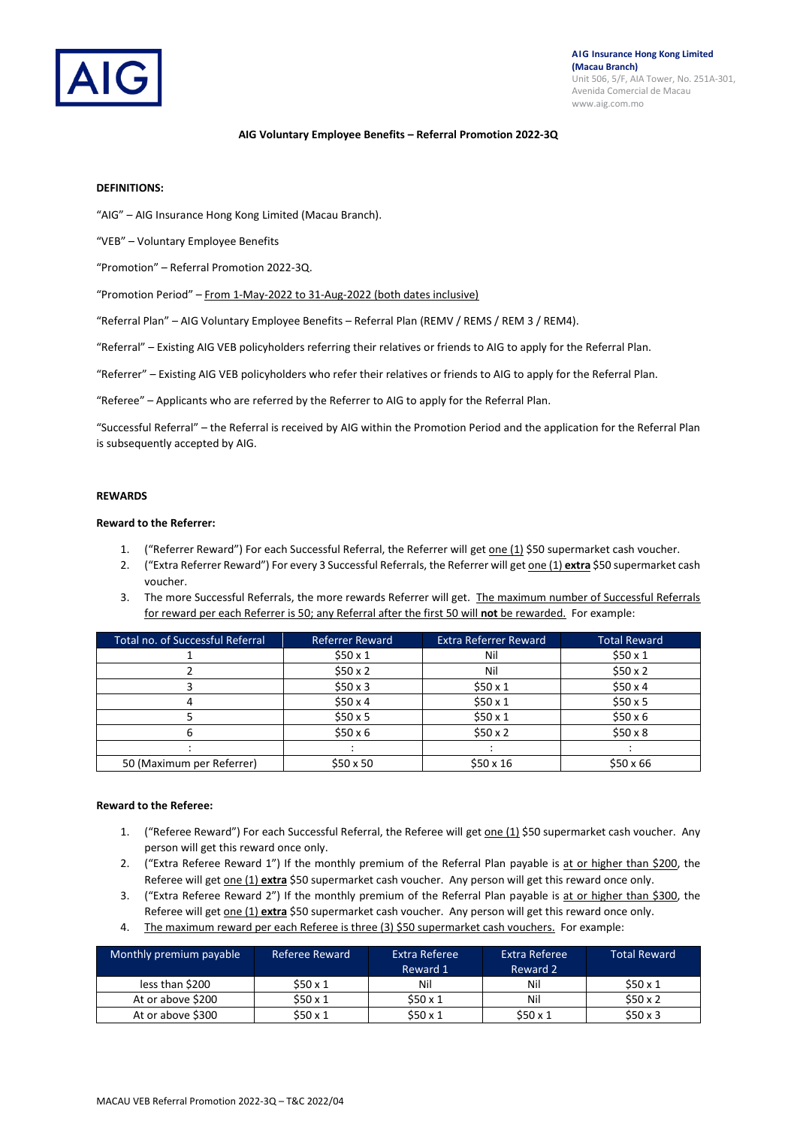

### **AIG Voluntary Employee Benefits – Referral Promotion 2022-3Q**

## **DEFINITIONS:**

"AIG" – AIG Insurance Hong Kong Limited (Macau Branch).

"VEB" – Voluntary Employee Benefits

"Promotion" – Referral Promotion 2022-3Q.

"Promotion Period" – From 1-May-2022 to 31-Aug-2022 (both dates inclusive)

"Referral Plan" – AIG Voluntary Employee Benefits – Referral Plan (REMV / REMS / REM 3 / REM4).

"Referral" – Existing AIG VEB policyholders referring their relatives or friends to AIG to apply for the Referral Plan.

"Referrer" – Existing AIG VEB policyholders who refer their relatives or friends to AIG to apply for the Referral Plan.

"Referee" – Applicants who are referred by the Referrer to AIG to apply for the Referral Plan.

"Successful Referral" – the Referral is received by AIG within the Promotion Period and the application for the Referral Plan is subsequently accepted by AIG.

#### **REWARDS**

### **Reward to the Referrer:**

- 1. ("Referrer Reward") For each Successful Referral, the Referrer will get one (1) \$50 supermarket cash voucher.
- 2. ("Extra Referrer Reward") For every 3 Successful Referrals, the Referrer will get one (1) **extra** \$50 supermarket cash voucher.
- 3. The more Successful Referrals, the more rewards Referrer will get. The maximum number of Successful Referrals for reward per each Referrer is 50; any Referral after the first 50 will **not** be rewarded. For example:

| Total no. of Successful Referral | <b>Referrer Reward</b> | <b>Extra Referrer Reward</b> | <b>Total Reward</b> |
|----------------------------------|------------------------|------------------------------|---------------------|
|                                  | \$50x1                 | Nil                          | \$50x1              |
|                                  | \$50x2                 | Nil                          | \$50x2              |
|                                  | \$50x3                 | \$50x1                       | \$50x4              |
|                                  | \$50x4                 | \$50x1                       | \$50x5              |
|                                  | \$50x5                 | \$50x1                       | \$50x6              |
|                                  | \$50x6                 | \$50x2                       | \$50x8              |
|                                  |                        |                              |                     |
| 50 (Maximum per Referrer)        | $$50 \times 50$        | $$50 \times 16$              | $$50 \times 66$     |

### **Reward to the Referee:**

- 1. ("Referee Reward") For each Successful Referral, the Referee will get one (1) \$50 supermarket cash voucher. Any person will get this reward once only.
- 2. ("Extra Referee Reward 1") If the monthly premium of the Referral Plan payable is at or higher than \$200, the Referee will get one (1) **extra** \$50 supermarket cash voucher. Any person will get this reward once only.
- 3. ("Extra Referee Reward 2") If the monthly premium of the Referral Plan payable is at or higher than \$300, the Referee will get one (1) **extra** \$50 supermarket cash voucher. Any person will get this reward once only.
- 4. The maximum reward per each Referee is three (3) \$50 supermarket cash vouchers. For example:

| Monthly premium payable | Referee Reward | Extra Referee<br>Reward 1 | Extra Referee<br>Reward 2 | <b>Total Reward</b> |
|-------------------------|----------------|---------------------------|---------------------------|---------------------|
| less than \$200         | \$50 x 1       | Nil                       | Nil                       | \$50x1              |
| At or above \$200       | \$50x1         | \$50x1                    | Nil                       | \$50x2              |
| At or above \$300       | \$50x1         | \$50x1                    | \$50x1                    | \$50x3              |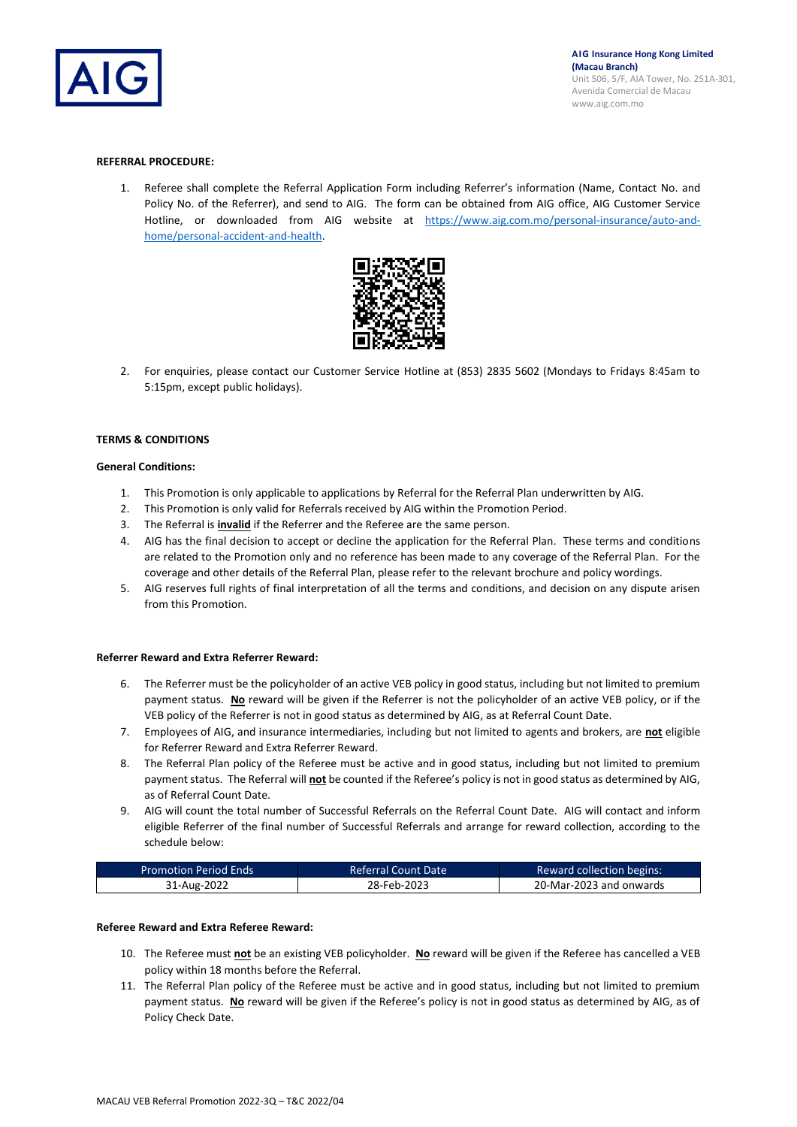

### **REFERRAL PROCEDURE:**

1. Referee shall complete the Referral Application Form including Referrer's information (Name, Contact No. and Policy No. of the Referrer), and send to AIG. The form can be obtained from AIG office, AIG Customer Service Hotline, or downloaded from AIG website at [https://www.aig.com.mo/personal-insurance/auto-and](https://www.aig.com.mo/personal-insurance/auto-and-home/personal-accident-and-health)[home/personal-accident-and-health.](https://www.aig.com.mo/personal-insurance/auto-and-home/personal-accident-and-health)



2. For enquiries, please contact our Customer Service Hotline at (853) 2835 5602 (Mondays to Fridays 8:45am to 5:15pm, except public holidays).

### **TERMS & CONDITIONS**

### **General Conditions:**

- 1. This Promotion is only applicable to applications by Referral for the Referral Plan underwritten by AIG.
- 2. This Promotion is only valid for Referrals received by AIG within the Promotion Period.
- 3. The Referral is **invalid** if the Referrer and the Referee are the same person.
- 4. AIG has the final decision to accept or decline the application for the Referral Plan. These terms and conditions are related to the Promotion only and no reference has been made to any coverage of the Referral Plan. For the coverage and other details of the Referral Plan, please refer to the relevant brochure and policy wordings.
- 5. AIG reserves full rights of final interpretation of all the terms and conditions, and decision on any dispute arisen from this Promotion.

#### **Referrer Reward and Extra Referrer Reward:**

- 6. The Referrer must be the policyholder of an active VEB policy in good status, including but not limited to premium payment status. **No** reward will be given if the Referrer is not the policyholder of an active VEB policy, or if the VEB policy of the Referrer is not in good status as determined by AIG, as at Referral Count Date.
- 7. Employees of AIG, and insurance intermediaries, including but not limited to agents and brokers, are **not** eligible for Referrer Reward and Extra Referrer Reward.
- 8. The Referral Plan policy of the Referee must be active and in good status, including but not limited to premium payment status. The Referral will **not** be counted if the Referee's policy is not in good status as determined by AIG, as of Referral Count Date.
- 9. AIG will count the total number of Successful Referrals on the Referral Count Date. AIG will contact and inform eligible Referrer of the final number of Successful Referrals and arrange for reward collection, according to the schedule below:

| <b>Promotion Period Ends</b> | <b>Referral Count Date</b> | <b>Reward collection begins:</b> |
|------------------------------|----------------------------|----------------------------------|
| 31-Aug-2022                  | 28-Feb-2023                | 20-Mar-2023 and onwards          |

### **Referee Reward and Extra Referee Reward:**

- 10. The Referee must **not** be an existing VEB policyholder. **No** reward will be given if the Referee has cancelled a VEB policy within 18 months before the Referral.
- 11. The Referral Plan policy of the Referee must be active and in good status, including but not limited to premium payment status. No reward will be given if the Referee's policy is not in good status as determined by AIG, as of Policy Check Date.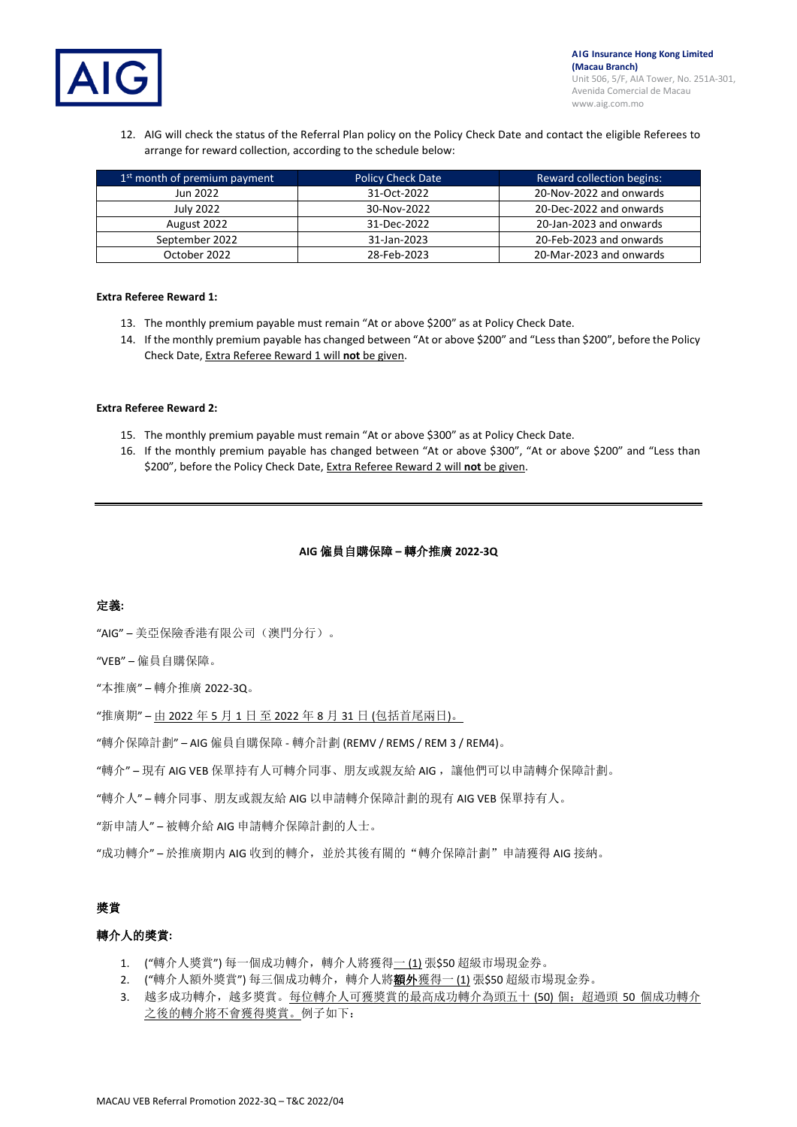

12. AIG will check the status of the Referral Plan policy on the Policy Check Date and contact the eligible Referees to arrange for reward collection, according to the schedule below:

| 1 <sup>st</sup> month of premium payment | <b>Policy Check Date</b> | <b>Reward collection begins:</b> |
|------------------------------------------|--------------------------|----------------------------------|
| Jun 2022                                 | 31-Oct-2022              | 20-Nov-2022 and onwards          |
| July 2022                                | 30-Nov-2022              | 20-Dec-2022 and onwards          |
| August 2022                              | 31-Dec-2022              | 20-Jan-2023 and onwards          |
| September 2022                           | 31-Jan-2023              | 20-Feb-2023 and onwards          |
| October 2022                             | 28-Feb-2023              | 20-Mar-2023 and onwards          |

#### **Extra Referee Reward 1:**

- 13. The monthly premium payable must remain "At or above \$200" as at Policy Check Date.
- 14. If the monthly premium payable has changed between "At or above \$200" and "Less than \$200", before the Policy Check Date, Extra Referee Reward 1 will **not** be given.

#### **Extra Referee Reward 2:**

- 15. The monthly premium payable must remain "At or above \$300" as at Policy Check Date.
- 16. If the monthly premium payable has changed between "At or above \$300", "At or above \$200" and "Less than \$200", before the Policy Check Date, Extra Referee Reward 2 will **not** be given.

## **AIG** 僱員自購保障 **–** 轉介推廣 **2022-3Q**

## 定義**:**

"AIG" – 美亞保險香港有限公司(澳門分行)。

"VEB" – 僱員自購保障。

- "本推廣" 轉介推廣 2022-3Q。
- "推廣期" 由 2022 年 5 月 1 日 至 2022 年 8 月 31 日 (包括首尾兩日)。
- "轉介保障計劃" AIG 僱員自購保障 轉介計劃 (REMV / REMS / REM 3 / REM4)。
- "轉介" 現有 AIG VEB 保單持有人可轉介同事、朋友或親友給 AIG, 讓他們可以申請轉介保障計劃。
- "轉介人" 轉介同事、朋友或親友給 AIG 以申請轉介保障計劃的現有 AIG VEB 保單持有人。
- "新申請人" 被轉介給 AIG 申請轉介保障計劃的人士。
- "成功轉介" 於推廣期内 AIG 收到的轉介,並於其後有關的"轉介保障計劃"申請獲得 AIG 接納。

# 獎賞

## 轉介人的獎賞**:**

- 1. ("轉介人獎賞")每一個成功轉介,轉介人將獲得一(1)張\$50超級市場現金券。
- 2. ("轉介人額外獎賞")每三個成功轉介,轉介人將**額外**獲得一(1)張\$50 超級市場現金券。
- 3. 越多成功轉介,越多獎賞。每位轉介人可獲獎賞的最高成功轉介為頭五十 (50) 個;超過頭 50 個成功轉介 之後的轉介將不會獲得獎賞。例子如下: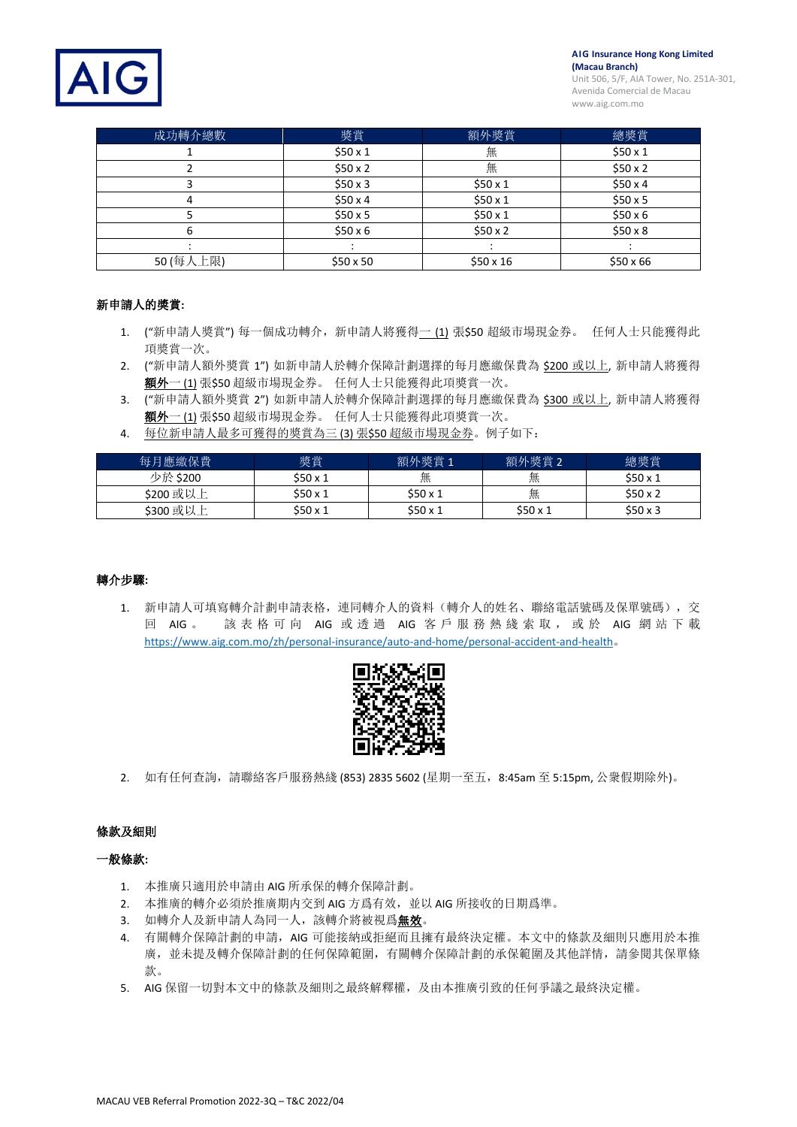**AIG Insurance Hong Kong Limited (Macau Branch)**





| 成功轉介總數    | 獎賞              | 額外獎賞    | 總獎賞             |
|-----------|-----------------|---------|-----------------|
|           | \$50x1          | 無       | \$50x1          |
|           | \$50x2          | 無       | \$50x2          |
|           | \$50x3          | \$50x1  | \$50x4          |
|           | \$50x4          | \$50x1  | \$50x5          |
|           | \$50x5          | \$50x1  | \$50x6          |
| 6         | $$50 \times 6$  | \$50x2  | \$50x8          |
|           |                 |         |                 |
| 50 (每人上限) | $$50 \times 50$ | \$50x16 | $$50 \times 66$ |

## 新申請人的獎賞**:**

- 1. ("新申請人獎賞") 每一個成功轉介,新申請人將獲得一 (1) 張\$50 超級市場現金券。 任何人士只能獲得此 項獎賞一次。
- 2. ("新申請人額外獎賞 1") 如新申請人於轉介保障計劃選擇的每月應繳保費為 \$200 或以上, 新申請人將獲得 **額外一 (1)** 張\$50 超級市場現金券。 任何人士只能獲得此項獎賞一次。
- 3. ("新申請人額外獎賞 2")如新申請人於轉介保障計劃選擇的每月應繳保費為 \$300 或以上, 新申請人將獲得 額外一 (1) 張\$50 超級市場現金券。 任何人士只能獲得此項獎賞一次。
- 4. 每位新申請人最多可獲得的獎賞為三 (3) 張\$50 超級市場現金券。例子如下:

| 每月應繳保費    | 獎賞     | 額外獎賞 1 | 額外獎賞 2 | 總獎賞    |
|-----------|--------|--------|--------|--------|
| 少於 \$200  | \$50x1 | 無      | 無      | \$50x1 |
| \$200 或以上 | \$50x1 | \$50x1 | 無      | \$50x2 |
| \$300 或以上 | \$50x1 | \$50x1 | \$50x1 | \$50x3 |

## 轉介步驟**:**

1. 新申請人可填寫轉介計劃申請表格,連同轉介人的資料(轉介人的姓名、聯絡電話號碼及保單號碼),交 回 AIG 。 該 表 格 可 向 AIG 或透過 AIG 客 戶 服 務 熱 綫 索 取 , 或 於 AIG 網站下載 <https://www.aig.com.mo/zh/personal-insurance/auto-and-home/personal-accident-and-health>。



2. 如有任何查詢,請聯絡客戶服務熱綫 (853) 2835 5602 (星期一至五, 8:45am 至 5:15pm, 公衆假期除外)。

## 條款及細則

## 一般條款**:**

- 1. 本推廣只適用於申請由 AIG 所承保的轉介保障計劃。
- 2. 本推廣的轉介必須於推廣期内交到 AIG 方爲有效,並以 AIG 所接收的日期爲準。
- 3. 如轉介人及新申請人為同一人,該轉介將被視爲無效。
- 4. 有關轉介保障計劃的申請,AIG 可能接納或拒絕而且擁有最終決定權。本文中的條款及細則只應用於本推 廣,並未提及轉介保障計劃的任何保障範圍,有關轉介保障計劃的承保範圍及其他詳情,請參閱其保單條 款。
- 5. AIG 保留一切對本文中的條款及細則之最終解釋權,及由本推廣引致的任何爭議之最終決定權。